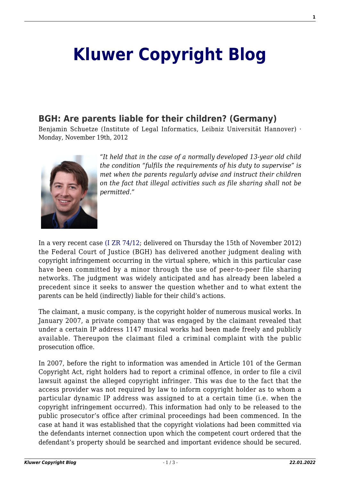## **[Kluwer Copyright Blog](http://copyrightblog.kluweriplaw.com/)**

## **[BGH: Are parents liable for their children? \(Germany\)](http://copyrightblog.kluweriplaw.com/2012/11/19/bgh-are-parents-liable-for-their-children-germany/)**

Benjamin Schuetze (Institute of Legal Informatics, Leibniz Universität Hannover) · Monday, November 19th, 2012



*"It held that in the case of a normally developed 13-year old child the condition "fulfils the requirements of his duty to supervise" is met when the parents regularly advise and instruct their children on the fact that illegal activities such as file sharing shall not be permitted."*

In a very recent case [\(I ZR 74/12;](http://juris.bundesgerichtshof.de/cgi-bin/rechtsprechung/document.py?Gericht=bgh&Art=en&Datum=Aktuell&nr=62207&linked=pm) delivered on Thursday the 15th of November 2012) the Federal Court of Justice (BGH) has delivered another judgment dealing with copyright infringement occurring in the virtual sphere, which in this particular case have been committed by a minor through the use of peer-to-peer file sharing networks. The judgment was widely anticipated and has already been labeled a precedent since it seeks to answer the question whether and to what extent the parents can be held (indirectly) liable for their child's actions.

The claimant, a music company, is the copyright holder of numerous musical works. In January 2007, a private company that was engaged by the claimant revealed that under a certain IP address 1147 musical works had been made freely and publicly available. Thereupon the claimant filed a criminal complaint with the public prosecution office.

In 2007, before the right to information was amended in Article 101 of the German Copyright Act, right holders had to report a criminal offence, in order to file a civil lawsuit against the alleged copyright infringer. This was due to the fact that the access provider was not required by law to inform copyright holder as to whom a particular dynamic IP address was assigned to at a certain time (i.e. when the copyright infringement occurred). This information had only to be released to the public prosecutor's office after criminal proceedings had been commenced. In the case at hand it was established that the copyright violations had been committed via the defendants internet connection upon which the competent court ordered that the defendant's property should be searched and important evidence should be secured.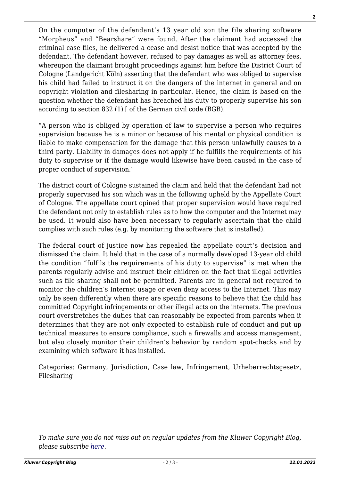On the computer of the defendant's 13 year old son the file sharing software "Morpheus" and "Bearshare" were found. After the claimant had accessed the criminal case files, he delivered a cease and desist notice that was accepted by the defendant. The defendant however, refused to pay damages as well as attorney fees, whereupon the claimant brought proceedings against him before the District Court of Cologne (Landgericht Köln) asserting that the defendant who was obliged to supervise his child had failed to instruct it on the dangers of the internet in general and on copyright violation and filesharing in particular. Hence, the claim is based on the question whether the defendant has breached his duty to properly supervise his son according to section 832 (1) [ of the German civil code (BGB).

"A person who is obliged by operation of law to supervise a person who requires supervision because he is a minor or because of his mental or physical condition is liable to make compensation for the damage that this person unlawfully causes to a third party. Liability in damages does not apply if he fulfills the requirements of his duty to supervise or if the damage would likewise have been caused in the case of proper conduct of supervision."

The district court of Cologne sustained the claim and held that the defendant had not properly supervised his son which was in the following upheld by the Appellate Court of Cologne. The appellate court opined that proper supervision would have required the defendant not only to establish rules as to how the computer and the Internet may be used. It would also have been necessary to regularly ascertain that the child complies with such rules (e.g. by monitoring the software that is installed).

The federal court of justice now has repealed the appellate court's decision and dismissed the claim. It held that in the case of a normally developed 13-year old child the condition "fulfils the requirements of his duty to supervise" is met when the parents regularly advise and instruct their children on the fact that illegal activities such as file sharing shall not be permitted. Parents are in general not required to monitor the children's Internet usage or even deny access to the Internet. This may only be seen differently when there are specific reasons to believe that the child has committed Copyright infringements or other illegal acts on the internets. The previous court overstretches the duties that can reasonably be expected from parents when it determines that they are not only expected to establish rule of conduct and put up technical measures to ensure compliance, such a firewalls and access management, but also closely monitor their children's behavior by random spot-checks and by examining which software it has installed.

Categories: Germany, Jurisdiction, Case law, Infringement, Urheberrechtsgesetz, Filesharing

 $\mathcal{L}_\text{max}$ 

*To make sure you do not miss out on regular updates from the Kluwer Copyright Blog, please subscribe [here.](http://copyrightblog.kluweriplaw.com/newsletter)*